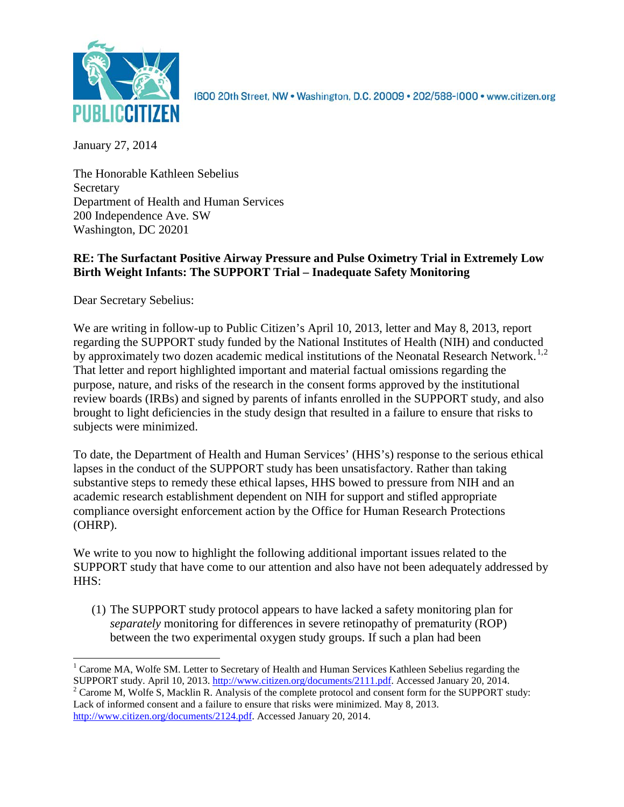

1600 20th Street, NW . Washington, D.C. 20009 . 202/588-1000 . www.citizen.org

January 27, 2014

The Honorable Kathleen Sebelius **Secretary** Department of Health and Human Services 200 Independence Ave. SW Washington, DC 20201

# **RE: The Surfactant Positive Airway Pressure and Pulse Oximetry Trial in Extremely Low Birth Weight Infants: The SUPPORT Trial – Inadequate Safety Monitoring**

Dear Secretary Sebelius:

We are writing in follow-up to Public Citizen's April 10, 2013, letter and May 8, 2013, report regarding the SUPPORT study funded by the National Institutes of Health (NIH) and conducted by approximately two dozen academic medical institutions of the Neonatal Research Network.<sup>[1](#page-0-0),[2](#page-0-1)</sup> That letter and report highlighted important and material factual omissions regarding the purpose, nature, and risks of the research in the consent forms approved by the institutional review boards (IRBs) and signed by parents of infants enrolled in the SUPPORT study, and also brought to light deficiencies in the study design that resulted in a failure to ensure that risks to subjects were minimized.

To date, the Department of Health and Human Services' (HHS's) response to the serious ethical lapses in the conduct of the SUPPORT study has been unsatisfactory. Rather than taking substantive steps to remedy these ethical lapses, HHS bowed to pressure from NIH and an academic research establishment dependent on NIH for support and stifled appropriate compliance oversight enforcement action by the Office for Human Research Protections (OHRP).

We write to you now to highlight the following additional important issues related to the SUPPORT study that have come to our attention and also have not been adequately addressed by HHS:

(1) The SUPPORT study protocol appears to have lacked a safety monitoring plan for *separately* monitoring for differences in severe retinopathy of prematurity (ROP) between the two experimental oxygen study groups. If such a plan had been

<span id="page-0-0"></span><sup>&</sup>lt;sup>1</sup> Carome MA, Wolfe SM. Letter to Secretary of Health and Human Services Kathleen Sebelius regarding the SUPPORT study. April 10, 2013. http://www.citizen.org/documents/2111.pdf. Accessed January 20, 2014.

<span id="page-0-1"></span><sup>&</sup>lt;sup>2</sup> Carome M, Wolfe S, Macklin R. Analysis of the complete protocol and consent form for the SUPPORT study: Lack of informed consent and a failure to ensure that risks were minimized. May 8, 2013. [http://www.citizen.org/documents/2124.pdf.](http://www.citizen.org/documents/2124.pdf) Accessed January 20, 2014.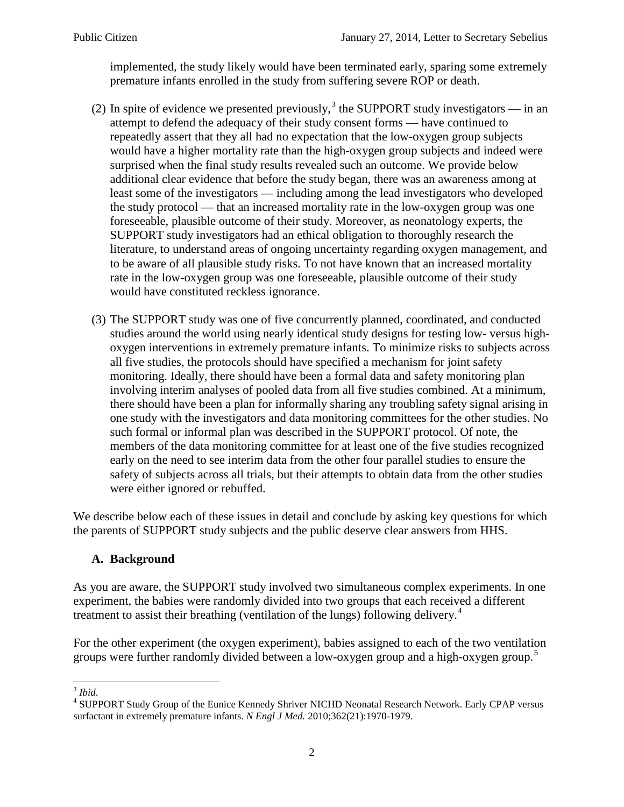implemented, the study likely would have been terminated early, sparing some extremely premature infants enrolled in the study from suffering severe ROP or death.

- (2) In spite of evidence we presented previously,<sup>[3](#page-1-0)</sup> the SUPPORT study investigators in an attempt to defend the adequacy of their study consent forms — have continued to repeatedly assert that they all had no expectation that the low-oxygen group subjects would have a higher mortality rate than the high-oxygen group subjects and indeed were surprised when the final study results revealed such an outcome. We provide below additional clear evidence that before the study began, there was an awareness among at least some of the investigators — including among the lead investigators who developed the study protocol — that an increased mortality rate in the low-oxygen group was one foreseeable, plausible outcome of their study. Moreover, as neonatology experts, the SUPPORT study investigators had an ethical obligation to thoroughly research the literature, to understand areas of ongoing uncertainty regarding oxygen management, and to be aware of all plausible study risks. To not have known that an increased mortality rate in the low-oxygen group was one foreseeable, plausible outcome of their study would have constituted reckless ignorance.
- (3) The SUPPORT study was one of five concurrently planned, coordinated, and conducted studies around the world using nearly identical study designs for testing low- versus highoxygen interventions in extremely premature infants. To minimize risks to subjects across all five studies, the protocols should have specified a mechanism for joint safety monitoring. Ideally, there should have been a formal data and safety monitoring plan involving interim analyses of pooled data from all five studies combined. At a minimum, there should have been a plan for informally sharing any troubling safety signal arising in one study with the investigators and data monitoring committees for the other studies. No such formal or informal plan was described in the SUPPORT protocol. Of note, the members of the data monitoring committee for at least one of the five studies recognized early on the need to see interim data from the other four parallel studies to ensure the safety of subjects across all trials, but their attempts to obtain data from the other studies were either ignored or rebuffed.

We describe below each of these issues in detail and conclude by asking key questions for which the parents of SUPPORT study subjects and the public deserve clear answers from HHS.

### **A. Background**

As you are aware, the SUPPORT study involved two simultaneous complex experiments. In one experiment, the babies were randomly divided into two groups that each received a different treatment to assist their breathing (ventilation of the lungs) following delivery.<sup>[4](#page-1-1)</sup>

For the other experiment (the oxygen experiment), babies assigned to each of the two ventilation groups were further randomly divided between a low-oxygen group and a high-oxygen group.<sup>[5](#page-1-1)</sup>

<span id="page-1-1"></span><span id="page-1-0"></span><sup>&</sup>lt;sup>3</sup> *Ibid.* 4 SUPPORT Study Group of the Eunice Kennedy Shriver NICHD Neonatal Research Network. Early CPAP versus surfactant in extremely premature infants. *N Engl J Med.* 2010;362(21):1970-1979.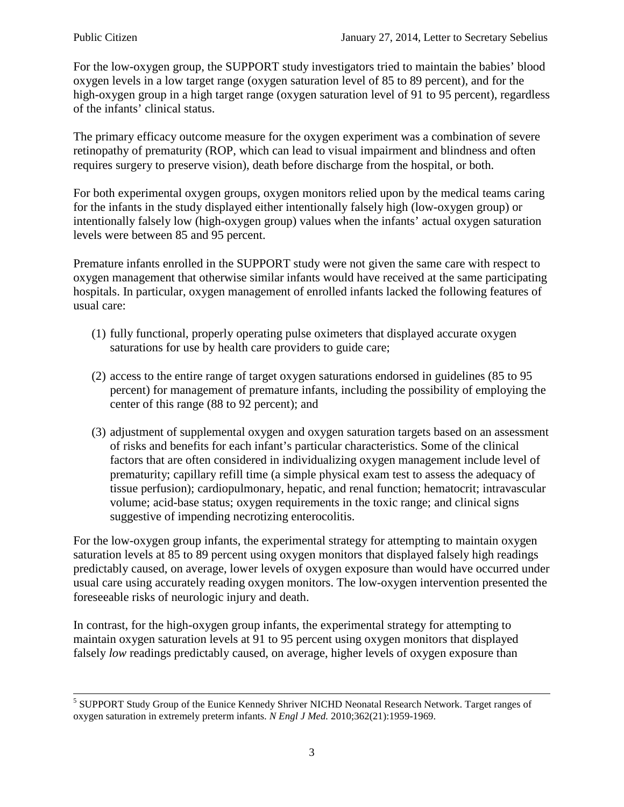For the low-oxygen group, the SUPPORT study investigators tried to maintain the babies' blood oxygen levels in a low target range (oxygen saturation level of 85 to 89 percent), and for the high-oxygen group in a high target range (oxygen saturation level of 91 to 95 percent), regardless of the infants' clinical status.

The primary efficacy outcome measure for the oxygen experiment was a combination of severe retinopathy of prematurity (ROP, which can lead to visual impairment and blindness and often requires surgery to preserve vision), death before discharge from the hospital, or both.

For both experimental oxygen groups, oxygen monitors relied upon by the medical teams caring for the infants in the study displayed either intentionally falsely high (low-oxygen group) or intentionally falsely low (high-oxygen group) values when the infants' actual oxygen saturation levels were between 85 and 95 percent.

Premature infants enrolled in the SUPPORT study were not given the same care with respect to oxygen management that otherwise similar infants would have received at the same participating hospitals. In particular, oxygen management of enrolled infants lacked the following features of usual care:

- (1) fully functional, properly operating pulse oximeters that displayed accurate oxygen saturations for use by health care providers to guide care;
- (2) access to the entire range of target oxygen saturations endorsed in guidelines (85 to 95 percent) for management of premature infants, including the possibility of employing the center of this range (88 to 92 percent); and
- (3) adjustment of supplemental oxygen and oxygen saturation targets based on an assessment of risks and benefits for each infant's particular characteristics. Some of the clinical factors that are often considered in individualizing oxygen management include level of prematurity; capillary refill time (a simple physical exam test to assess the adequacy of tissue perfusion); cardiopulmonary, hepatic, and renal function; hematocrit; intravascular volume; acid-base status; oxygen requirements in the toxic range; and clinical signs suggestive of impending necrotizing enterocolitis.

For the low-oxygen group infants, the experimental strategy for attempting to maintain oxygen saturation levels at 85 to 89 percent using oxygen monitors that displayed falsely high readings predictably caused, on average, lower levels of oxygen exposure than would have occurred under usual care using accurately reading oxygen monitors. The low-oxygen intervention presented the foreseeable risks of neurologic injury and death.

In contrast, for the high-oxygen group infants, the experimental strategy for attempting to maintain oxygen saturation levels at 91 to 95 percent using oxygen monitors that displayed falsely *low* readings predictably caused, on average, higher levels of oxygen exposure than

 <sup>5</sup> SUPPORT Study Group of the Eunice Kennedy Shriver NICHD Neonatal Research Network. Target ranges of oxygen saturation in extremely preterm infants. *N Engl J Med.* 2010;362(21):1959-1969.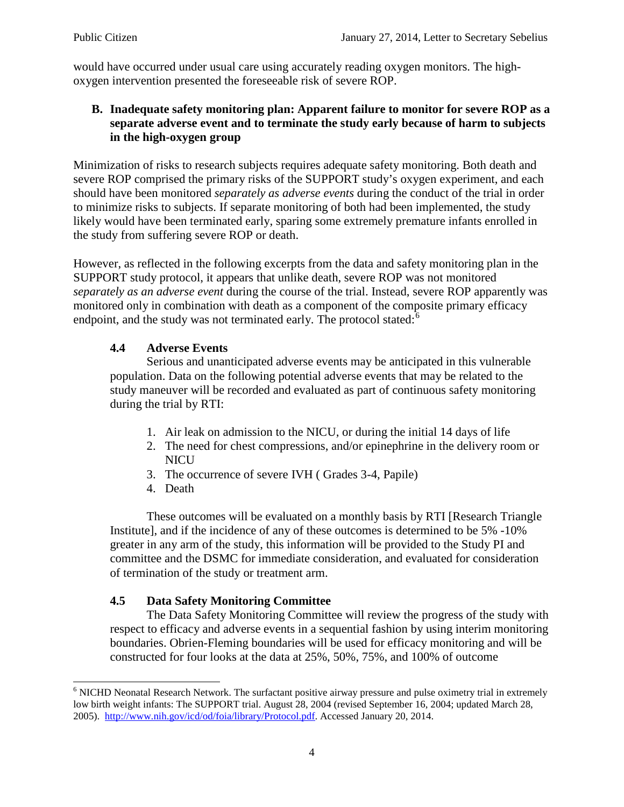would have occurred under usual care using accurately reading oxygen monitors. The highoxygen intervention presented the foreseeable risk of severe ROP.

## **B. Inadequate safety monitoring plan: Apparent failure to monitor for severe ROP as a separate adverse event and to terminate the study early because of harm to subjects in the high-oxygen group**

Minimization of risks to research subjects requires adequate safety monitoring. Both death and severe ROP comprised the primary risks of the SUPPORT study's oxygen experiment, and each should have been monitored *separately as adverse events* during the conduct of the trial in order to minimize risks to subjects. If separate monitoring of both had been implemented, the study likely would have been terminated early, sparing some extremely premature infants enrolled in the study from suffering severe ROP or death.

However, as reflected in the following excerpts from the data and safety monitoring plan in the SUPPORT study protocol, it appears that unlike death, severe ROP was not monitored *separately as an adverse event* during the course of the trial. Instead, severe ROP apparently was monitored only in combination with death as a component of the composite primary efficacy endpoint, and the study was not terminated early. The protocol stated: $6$ 

# **4.4 Adverse Events**

Serious and unanticipated adverse events may be anticipated in this vulnerable population. Data on the following potential adverse events that may be related to the study maneuver will be recorded and evaluated as part of continuous safety monitoring during the trial by RTI:

- 1. Air leak on admission to the NICU, or during the initial 14 days of life
- 2. The need for chest compressions, and/or epinephrine in the delivery room or **NICU**
- 3. The occurrence of severe IVH ( Grades 3-4, Papile)
- 4. Death

These outcomes will be evaluated on a monthly basis by RTI [Research Triangle Institute], and if the incidence of any of these outcomes is determined to be 5% -10% greater in any arm of the study, this information will be provided to the Study PI and committee and the DSMC for immediate consideration, and evaluated for consideration of termination of the study or treatment arm.

### **4.5 Data Safety Monitoring Committee**

The Data Safety Monitoring Committee will review the progress of the study with respect to efficacy and adverse events in a sequential fashion by using interim monitoring boundaries. Obrien-Fleming boundaries will be used for efficacy monitoring and will be constructed for four looks at the data at 25%, 50%, 75%, and 100% of outcome

<span id="page-3-0"></span><sup>&</sup>lt;sup>6</sup> NICHD Neonatal Research Network. The surfactant positive airway pressure and pulse oximetry trial in extremely low birth weight infants: The SUPPORT trial. August 28, 2004 (revised September 16, 2004; updated March 28, 2005).[http://www.nih.gov/icd/od/foia/library/Protocol.pdf.](http://www.nih.gov/icd/od/foia/library/Protocol.pdf) Accessed January 20, 2014.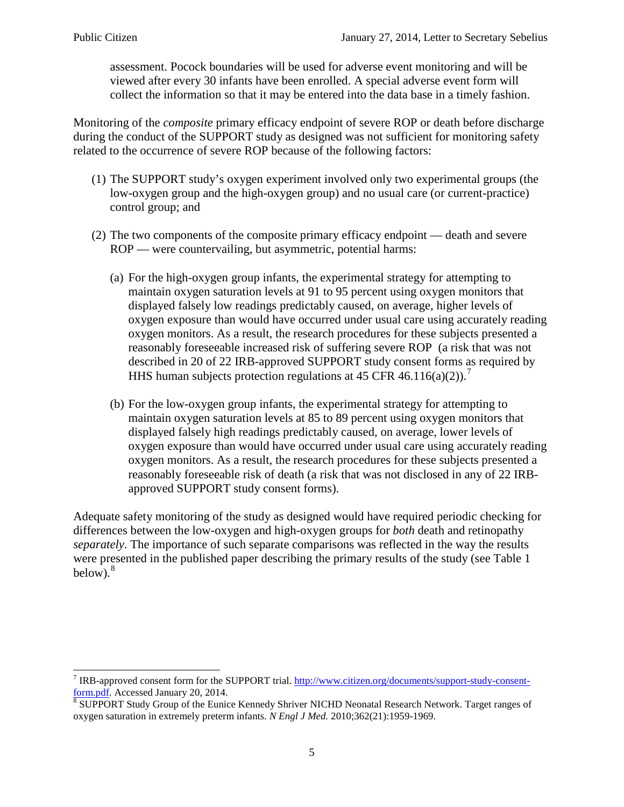assessment. Pocock boundaries will be used for adverse event monitoring and will be viewed after every 30 infants have been enrolled. A special adverse event form will collect the information so that it may be entered into the data base in a timely fashion.

Monitoring of the *composite* primary efficacy endpoint of severe ROP or death before discharge during the conduct of the SUPPORT study as designed was not sufficient for monitoring safety related to the occurrence of severe ROP because of the following factors:

- (1) The SUPPORT study's oxygen experiment involved only two experimental groups (the low-oxygen group and the high-oxygen group) and no usual care (or current-practice) control group; and
- (2) The two components of the composite primary efficacy endpoint death and severe ROP — were countervailing, but asymmetric, potential harms:
	- (a) For the high-oxygen group infants, the experimental strategy for attempting to maintain oxygen saturation levels at 91 to 95 percent using oxygen monitors that displayed falsely low readings predictably caused, on average, higher levels of oxygen exposure than would have occurred under usual care using accurately reading oxygen monitors. As a result, the research procedures for these subjects presented a reasonably foreseeable increased risk of suffering severe ROP (a risk that was not described in 20 of 22 IRB-approved SUPPORT study consent forms as required by HHS human subjects protection regulations at 45 CFR 46.116(a)(2)).<sup>[7](#page-4-0)</sup>
	- (b) For the low-oxygen group infants, the experimental strategy for attempting to maintain oxygen saturation levels at 85 to 89 percent using oxygen monitors that displayed falsely high readings predictably caused, on average, lower levels of oxygen exposure than would have occurred under usual care using accurately reading oxygen monitors. As a result, the research procedures for these subjects presented a reasonably foreseeable risk of death (a risk that was not disclosed in any of 22 IRBapproved SUPPORT study consent forms).

Adequate safety monitoring of the study as designed would have required periodic checking for differences between the low-oxygen and high-oxygen groups for *both* death and retinopathy *separately*. The importance of such separate comparisons was reflected in the way the results were presented in the published paper describing the primary results of the study (see Table 1 below). $8$ 

<span id="page-4-0"></span><sup>&</sup>lt;sup>7</sup> IRB-approved consent form for the SUPPORT trial. [http://www.citizen.org/documents/support-study-consent](http://www.citizen.org/documents/support-study-consent-form.pdf)[form.pdf.](http://www.citizen.org/documents/support-study-consent-form.pdf) Accessed January 20, 2014.<br><sup>[8](http://www.citizen.org/documents/support-study-consent-form.pdf)</sup> SUPPORT Study Group of the Eunice Kennedy Shriver NICHD Neonatal Research Network. Target ranges of

<span id="page-4-1"></span>oxygen saturation in extremely preterm infants. *N Engl J Med.* 2010;362(21):1959-1969.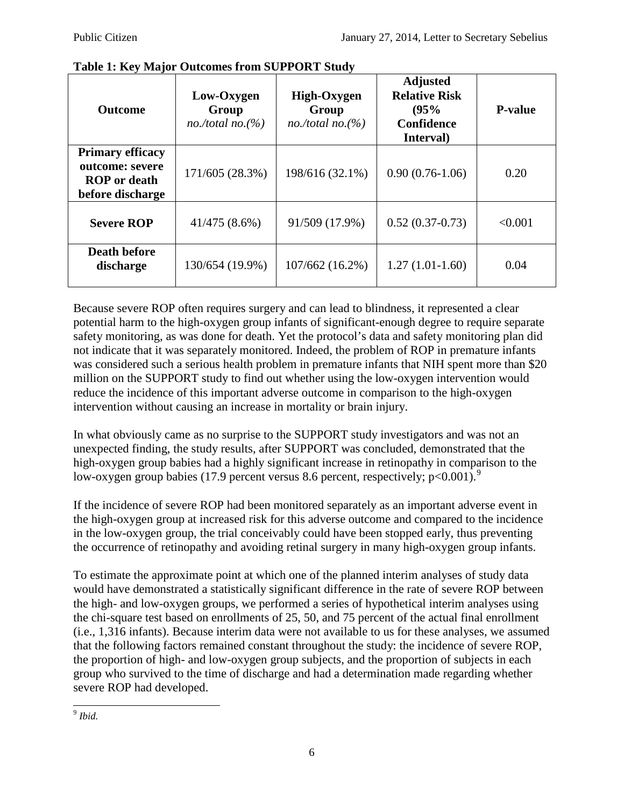| <b>Outcome</b>                                                                        | Low-Oxygen<br>Group<br>$no./total~no.$ (%) | High-Oxygen<br>Group<br>no./total no. $(\% )$ | <b>Adjusted</b><br><b>Relative Risk</b><br>(95%<br><b>Confidence</b><br>Interval) | <b>P-value</b> |
|---------------------------------------------------------------------------------------|--------------------------------------------|-----------------------------------------------|-----------------------------------------------------------------------------------|----------------|
| <b>Primary efficacy</b><br>outcome: severe<br><b>ROP</b> or death<br>before discharge | 171/605 (28.3%)                            | 198/616 (32.1%)                               | $0.90(0.76-1.06)$                                                                 | 0.20           |
| <b>Severe ROP</b>                                                                     | $41/475(8.6\%)$                            | 91/509 (17.9%)                                | $0.52(0.37-0.73)$                                                                 | < 0.001        |
| <b>Death before</b><br>discharge                                                      | 130/654 (19.9%)                            | 107/662 (16.2%)                               | $1.27(1.01-1.60)$                                                                 | 0.04           |

#### **Table 1: Key Major Outcomes from SUPPORT Study**

Because severe ROP often requires surgery and can lead to blindness, it represented a clear potential harm to the high-oxygen group infants of significant-enough degree to require separate safety monitoring, as was done for death. Yet the protocol's data and safety monitoring plan did not indicate that it was separately monitored. Indeed, the problem of ROP in premature infants was considered such a serious health problem in premature infants that NIH spent more than \$20 million on the SUPPORT study to find out whether using the low-oxygen intervention would reduce the incidence of this important adverse outcome in comparison to the high-oxygen intervention without causing an increase in mortality or brain injury.

In what obviously came as no surprise to the SUPPORT study investigators and was not an unexpected finding, the study results, after SUPPORT was concluded, demonstrated that the high-oxygen group babies had a highly significant increase in retinopathy in comparison to the low-oxygen group babies (17.[9](#page-5-0) percent versus 8.6 percent, respectively; p<0.001).<sup>9</sup>

If the incidence of severe ROP had been monitored separately as an important adverse event in the high-oxygen group at increased risk for this adverse outcome and compared to the incidence in the low-oxygen group, the trial conceivably could have been stopped early, thus preventing the occurrence of retinopathy and avoiding retinal surgery in many high-oxygen group infants.

To estimate the approximate point at which one of the planned interim analyses of study data would have demonstrated a statistically significant difference in the rate of severe ROP between the high- and low-oxygen groups, we performed a series of hypothetical interim analyses using the chi-square test based on enrollments of 25, 50, and 75 percent of the actual final enrollment (i.e., 1,316 infants). Because interim data were not available to us for these analyses, we assumed that the following factors remained constant throughout the study: the incidence of severe ROP, the proportion of high- and low-oxygen group subjects, and the proportion of subjects in each group who survived to the time of discharge and had a determination made regarding whether severe ROP had developed.

<span id="page-5-0"></span> $9$  *Ibid.*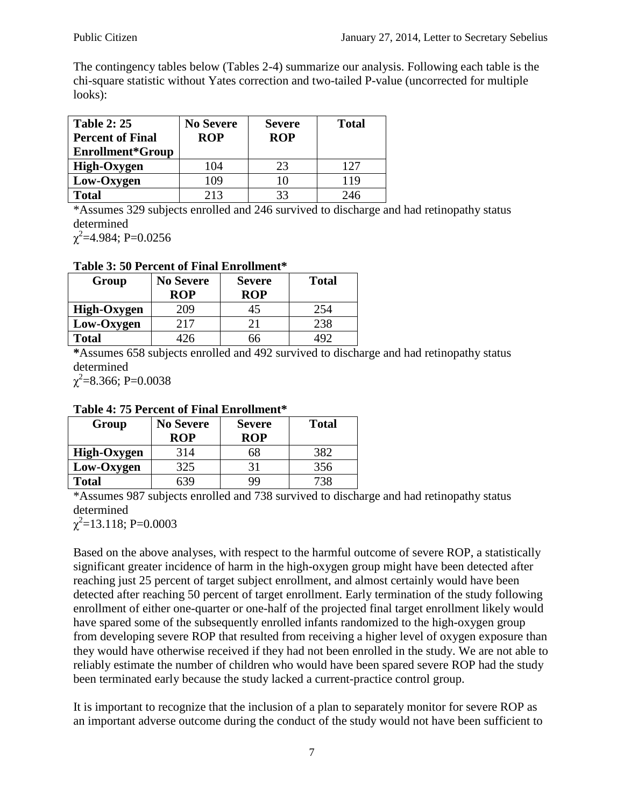The contingency tables below (Tables 2-4) summarize our analysis. Following each table is the chi-square statistic without Yates correction and two-tailed P-value (uncorrected for multiple looks):

| <b>Table 2: 25</b><br><b>Percent of Final</b><br>Enrollment*Group | <b>No Severe</b><br><b>ROP</b> | <b>Severe</b><br><b>ROP</b> | <b>Total</b> |
|-------------------------------------------------------------------|--------------------------------|-----------------------------|--------------|
| High-Oxygen                                                       | 104                            | 23                          | 127          |
| Low-Oxygen                                                        | 109                            | 10                          | 119          |
| <b>Total</b>                                                      | 213                            | 33                          | 246          |

\*Assumes 329 subjects enrolled and 246 survived to discharge and had retinopathy status determined

 $\chi^2$ =4.984; P=0.0256

### **Table 3: 50 Percent of Final Enrollment\***

| Group        | <b>No Severe</b> | <b>Severe</b> | <b>Total</b> |
|--------------|------------------|---------------|--------------|
|              | <b>ROP</b>       | <b>ROP</b>    |              |
| High-Oxygen  | 209              | 45            | 254          |
| Low-Oxygen   | 217              |               | 238          |
| <b>Total</b> |                  | ١h            |              |

**\***Assumes 658 subjects enrolled and 492 survived to discharge and had retinopathy status determined

 $\chi^2$ =8.366; P=0.0038

## **Table 4: 75 Percent of Final Enrollment\***

| Group        | <b>No Severe</b> | <b>Severe</b> | <b>Total</b> |
|--------------|------------------|---------------|--------------|
|              | <b>ROP</b>       | <b>ROP</b>    |              |
| High-Oxygen  | 314              | SΧ            | 382          |
| Low-Oxygen   | 325              |               | 356          |
| <b>Total</b> |                  | 99            | 73x          |

\*Assumes 987 subjects enrolled and 738 survived to discharge and had retinopathy status determined

 $\chi^2$ =13.118; P=0.0003

Based on the above analyses, with respect to the harmful outcome of severe ROP, a statistically significant greater incidence of harm in the high-oxygen group might have been detected after reaching just 25 percent of target subject enrollment, and almost certainly would have been detected after reaching 50 percent of target enrollment. Early termination of the study following enrollment of either one-quarter or one-half of the projected final target enrollment likely would have spared some of the subsequently enrolled infants randomized to the high-oxygen group from developing severe ROP that resulted from receiving a higher level of oxygen exposure than they would have otherwise received if they had not been enrolled in the study. We are not able to reliably estimate the number of children who would have been spared severe ROP had the study been terminated early because the study lacked a current-practice control group.

It is important to recognize that the inclusion of a plan to separately monitor for severe ROP as an important adverse outcome during the conduct of the study would not have been sufficient to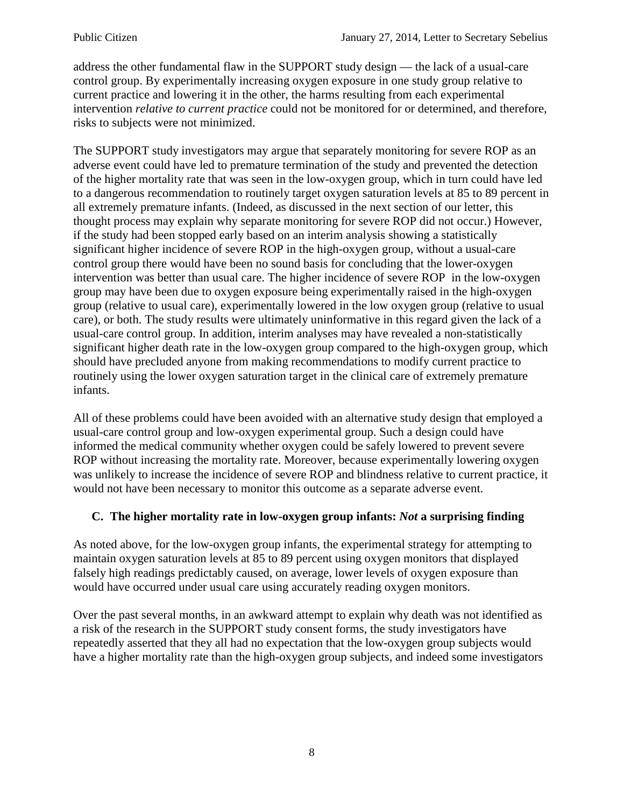address the other fundamental flaw in the SUPPORT study design — the lack of a usual-care control group. By experimentally increasing oxygen exposure in one study group relative to current practice and lowering it in the other, the harms resulting from each experimental intervention *relative to current practice* could not be monitored for or determined, and therefore, risks to subjects were not minimized.

The SUPPORT study investigators may argue that separately monitoring for severe ROP as an adverse event could have led to premature termination of the study and prevented the detection of the higher mortality rate that was seen in the low-oxygen group, which in turn could have led to a dangerous recommendation to routinely target oxygen saturation levels at 85 to 89 percent in all extremely premature infants. (Indeed, as discussed in the next section of our letter, this thought process may explain why separate monitoring for severe ROP did not occur.) However, if the study had been stopped early based on an interim analysis showing a statistically significant higher incidence of severe ROP in the high-oxygen group, without a usual-care control group there would have been no sound basis for concluding that the lower-oxygen intervention was better than usual care. The higher incidence of severe ROP in the low-oxygen group may have been due to oxygen exposure being experimentally raised in the high-oxygen group (relative to usual care), experimentally lowered in the low oxygen group (relative to usual care), or both. The study results were ultimately uninformative in this regard given the lack of a usual-care control group. In addition, interim analyses may have revealed a non-statistically significant higher death rate in the low-oxygen group compared to the high-oxygen group, which should have precluded anyone from making recommendations to modify current practice to routinely using the lower oxygen saturation target in the clinical care of extremely premature infants.

All of these problems could have been avoided with an alternative study design that employed a usual-care control group and low-oxygen experimental group. Such a design could have informed the medical community whether oxygen could be safely lowered to prevent severe ROP without increasing the mortality rate. Moreover, because experimentally lowering oxygen was unlikely to increase the incidence of severe ROP and blindness relative to current practice, it would not have been necessary to monitor this outcome as a separate adverse event.

# **C. The higher mortality rate in low-oxygen group infants:** *Not* **a surprising finding**

As noted above, for the low-oxygen group infants, the experimental strategy for attempting to maintain oxygen saturation levels at 85 to 89 percent using oxygen monitors that displayed falsely high readings predictably caused, on average, lower levels of oxygen exposure than would have occurred under usual care using accurately reading oxygen monitors.

Over the past several months, in an awkward attempt to explain why death was not identified as a risk of the research in the SUPPORT study consent forms, the study investigators have repeatedly asserted that they all had no expectation that the low-oxygen group subjects would have a higher mortality rate than the high-oxygen group subjects, and indeed some investigators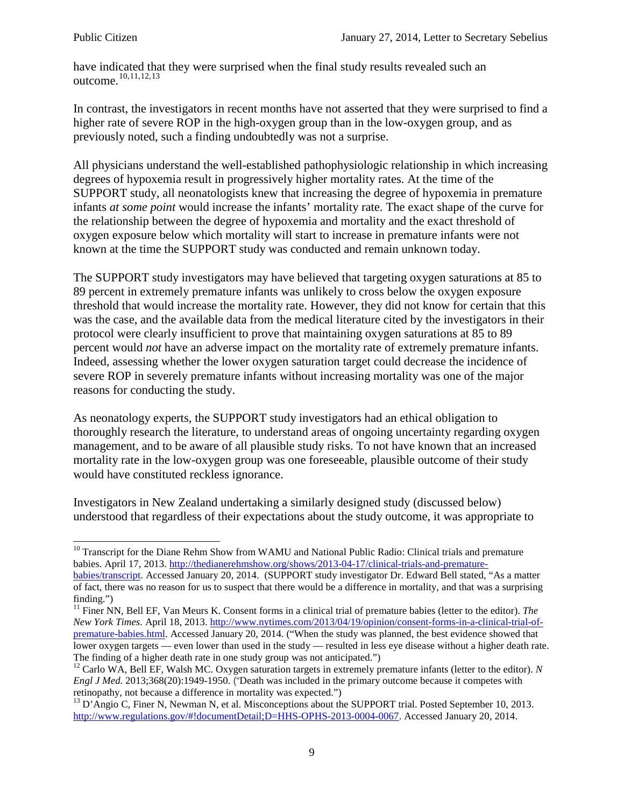have indicated that they were surprised when the final study results revealed such an outcome.<sup>[10](#page-8-0),[11,](#page-8-1)[12](#page-8-2),[13](#page-8-3)</sup>

In contrast, the investigators in recent months have not asserted that they were surprised to find a higher rate of severe ROP in the high-oxygen group than in the low-oxygen group, and as previously noted, such a finding undoubtedly was not a surprise.

All physicians understand the well-established pathophysiologic relationship in which increasing degrees of hypoxemia result in progressively higher mortality rates. At the time of the SUPPORT study, all neonatologists knew that increasing the degree of hypoxemia in premature infants *at some point* would increase the infants' mortality rate. The exact shape of the curve for the relationship between the degree of hypoxemia and mortality and the exact threshold of oxygen exposure below which mortality will start to increase in premature infants were not known at the time the SUPPORT study was conducted and remain unknown today.

The SUPPORT study investigators may have believed that targeting oxygen saturations at 85 to 89 percent in extremely premature infants was unlikely to cross below the oxygen exposure threshold that would increase the mortality rate. However, they did not know for certain that this was the case, and the available data from the medical literature cited by the investigators in their protocol were clearly insufficient to prove that maintaining oxygen saturations at 85 to 89 percent would *not* have an adverse impact on the mortality rate of extremely premature infants. Indeed, assessing whether the lower oxygen saturation target could decrease the incidence of severe ROP in severely premature infants without increasing mortality was one of the major reasons for conducting the study.

As neonatology experts, the SUPPORT study investigators had an ethical obligation to thoroughly research the literature, to understand areas of ongoing uncertainty regarding oxygen management, and to be aware of all plausible study risks. To not have known that an increased mortality rate in the low-oxygen group was one foreseeable, plausible outcome of their study would have constituted reckless ignorance.

Investigators in New Zealand undertaking a similarly designed study (discussed below) understood that regardless of their expectations about the study outcome, it was appropriate to

<span id="page-8-0"></span><sup>&</sup>lt;sup>10</sup> Transcript for the Diane Rehm Show from WAMU and National Public Radio: Clinical trials and premature babies. April 17, 2013. [http://thedianerehmshow.org/shows/2013-04-17/clinical-trials-and-premature-](http://thedianerehmshow.org/shows/2013-04-17/clinical-trials-and-premature-babies/transcript)

[babies/transcript.](http://thedianerehmshow.org/shows/2013-04-17/clinical-trials-and-premature-babies/transcript) Accessed January 20, 2014. (SUPPORT study investigator Dr. Edward Bell stated, "As a matter of fact, there was no reason for us to suspect that there would be a difference in mortality, and that was a surprising finding.")

<span id="page-8-1"></span><sup>&</sup>lt;sup>11</sup> Finer NN, Bell EF, Van Meurs K. Consent forms in a clinical trial of premature babies (letter to the editor). *The New York Times*. April 18, 2013. [http://www.nytimes.com/2013/04/19/opinion/consent-forms-in-a-clinical-trial-of](http://www.nytimes.com/2013/04/19/opinion/consent-forms-in-a-clinical-trial-of-premature-babies.html)[premature-babies.html.](http://www.nytimes.com/2013/04/19/opinion/consent-forms-in-a-clinical-trial-of-premature-babies.html) Accessed January 20, 2014. ("When the study was planned, the best evidence showed that lower oxygen targets — even lower than used in the study — resulted in less eve disease without a higher death rate. The finding of a higher death rate in one study group was not anticipated.")<br><sup>12</sup> Carlo WA, Bell EF, Walsh MC. Oxygen saturation targets in extremely premature infants (letter to the editor). *N* 

<span id="page-8-2"></span>*Engl J Med.* 2013;368(20):1949-1950. ("Death was included in the primary outcome because it competes with retinopathy, not because a difference in mortality was expected.")

<span id="page-8-3"></span><sup>&</sup>lt;sup>13</sup> D'Angio C, Finer N, Newman N, et al. Misconceptions about the SUPPORT trial. Posted September 10, 2013. [http://www.regulations.gov/#!documentDetail;D=HHS-OPHS-2013-0004-0067.](http://www.regulations.gov/#!documentDetail;D=HHS-OPHS-2013-0004-0067) Accessed January 20, 2014.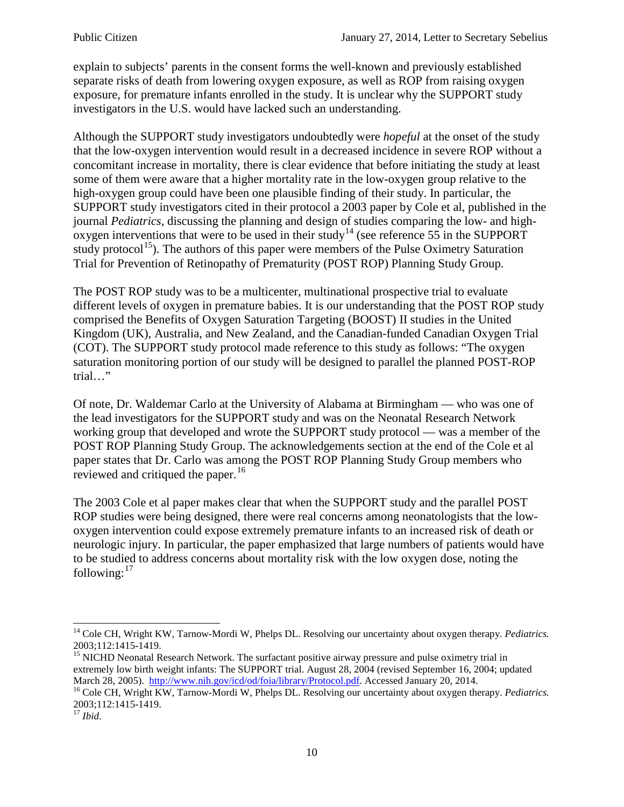explain to subjects' parents in the consent forms the well-known and previously established separate risks of death from lowering oxygen exposure, as well as ROP from raising oxygen exposure, for premature infants enrolled in the study. It is unclear why the SUPPORT study investigators in the U.S. would have lacked such an understanding.

Although the SUPPORT study investigators undoubtedly were *hopeful* at the onset of the study that the low-oxygen intervention would result in a decreased incidence in severe ROP without a concomitant increase in mortality, there is clear evidence that before initiating the study at least some of them were aware that a higher mortality rate in the low-oxygen group relative to the high-oxygen group could have been one plausible finding of their study. In particular, the SUPPORT study investigators cited in their protocol a 2003 paper by Cole et al, published in the journal *Pediatrics,* discussing the planning and design of studies comparing the low- and high-oxygen interventions that were to be used in their study<sup>[14](#page-9-0)</sup> (see reference 55 in the SUPPORT study protocol<sup>15</sup>). The authors of this paper were members of the Pulse Oximetry Saturation Trial for Prevention of Retinopathy of Prematurity (POST ROP) Planning Study Group.

The POST ROP study was to be a multicenter, multinational prospective trial to evaluate different levels of oxygen in premature babies. It is our understanding that the POST ROP study comprised the Benefits of Oxygen Saturation Targeting (BOOST) II studies in the United Kingdom (UK), Australia, and New Zealand, and the Canadian-funded Canadian Oxygen Trial (COT). The SUPPORT study protocol made reference to this study as follows: "The oxygen saturation monitoring portion of our study will be designed to parallel the planned POST-ROP trial…"

Of note, Dr. Waldemar Carlo at the University of Alabama at Birmingham — who was one of the lead investigators for the SUPPORT study and was on the Neonatal Research Network working group that developed and wrote the SUPPORT study protocol — was a member of the POST ROP Planning Study Group. The acknowledgements section at the end of the Cole et al paper states that Dr. Carlo was among the POST ROP Planning Study Group members who reviewed and critiqued the paper.<sup>[16](#page-9-2)</sup>

The 2003 Cole et al paper makes clear that when the SUPPORT study and the parallel POST ROP studies were being designed, there were real concerns among neonatologists that the lowoxygen intervention could expose extremely premature infants to an increased risk of death or neurologic injury. In particular, the paper emphasized that large numbers of patients would have to be studied to address concerns about mortality risk with the low oxygen dose, noting the following: $17$ 

<span id="page-9-0"></span><sup>&</sup>lt;sup>14</sup> Cole CH, Wright KW, Tarnow-Mordi W, Phelps DL. Resolving our uncertainty about oxygen therapy. *Pediatrics*.<br>2003:112:1415-1419.

<span id="page-9-1"></span><sup>&</sup>lt;sup>15</sup> NICHD Neonatal Research Network. The surfactant positive airway pressure and pulse oximetry trial in extremely low birth weight infants: The SUPPORT trial. August 28, 2004 (revised September 16, 2004; updated March 28, 2005). http://www.nih.gov/icd/od/foia/library/Protocol.pdf. Accessed January 20, 2014.

<span id="page-9-2"></span><sup>&</sup>lt;sup>16</sup> Cole CH, Wright KW, Tarnow-Mordi W, Phelps DL. Resolving our uncertainty about oxygen therapy. *Pediatrics*. 2003;112:1415-1419. <sup>17</sup> *Ibid*.

<span id="page-9-3"></span>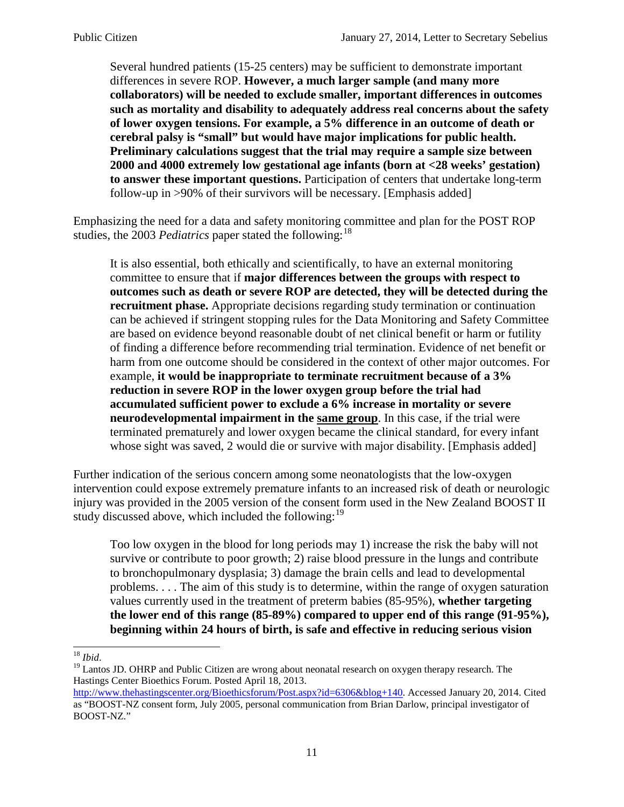Several hundred patients (15-25 centers) may be sufficient to demonstrate important differences in severe ROP. **However, a much larger sample (and many more collaborators) will be needed to exclude smaller, important differences in outcomes such as mortality and disability to adequately address real concerns about the safety of lower oxygen tensions. For example, a 5% difference in an outcome of death or cerebral palsy is "small" but would have major implications for public health. Preliminary calculations suggest that the trial may require a sample size between 2000 and 4000 extremely low gestational age infants (born at <28 weeks' gestation) to answer these important questions.** Participation of centers that undertake long-term follow-up in >90% of their survivors will be necessary. [Emphasis added]

Emphasizing the need for a data and safety monitoring committee and plan for the POST ROP studies, the 2003 *Pediatrics* paper stated the following:<sup>[18](#page-10-0)</sup>

It is also essential, both ethically and scientifically, to have an external monitoring committee to ensure that if **major differences between the groups with respect to outcomes such as death or severe ROP are detected, they will be detected during the recruitment phase.** Appropriate decisions regarding study termination or continuation can be achieved if stringent stopping rules for the Data Monitoring and Safety Committee are based on evidence beyond reasonable doubt of net clinical benefit or harm or futility of finding a difference before recommending trial termination. Evidence of net benefit or harm from one outcome should be considered in the context of other major outcomes. For example, **it would be inappropriate to terminate recruitment because of a 3% reduction in severe ROP in the lower oxygen group before the trial had accumulated sufficient power to exclude a 6% increase in mortality or severe neurodevelopmental impairment in the same group**. In this case, if the trial were terminated prematurely and lower oxygen became the clinical standard, for every infant whose sight was saved, 2 would die or survive with major disability. [Emphasis added]

Further indication of the serious concern among some neonatologists that the low-oxygen intervention could expose extremely premature infants to an increased risk of death or neurologic injury was provided in the 2005 version of the consent form used in the New Zealand BOOST II study discussed above, which included the following:  $19$ 

Too low oxygen in the blood for long periods may 1) increase the risk the baby will not survive or contribute to poor growth; 2) raise blood pressure in the lungs and contribute to bronchopulmonary dysplasia; 3) damage the brain cells and lead to developmental problems. . . . The aim of this study is to determine, within the range of oxygen saturation values currently used in the treatment of preterm babies (85-95%), **whether targeting the lower end of this range (85-89%) compared to upper end of this range (91-95%), beginning within 24 hours of birth, is safe and effective in reducing serious vision** 

<span id="page-10-1"></span><span id="page-10-0"></span><sup>&</sup>lt;sup>18</sup> *Ibid*.<br><sup>19</sup> Lantos JD. OHRP and Public Citizen are wrong about neonatal research on oxygen therapy research. The Hastings Center Bioethics Forum. Posted April 18, 2013.

[http://www.thehastingscenter.org/Bioethicsforum/Post.aspx?id=6306&blog+140.](http://www.thehastingscenter.org/Bioethicsforum/Post.aspx?id=6306&blog+140) Accessed January 20, 2014. Cited as "BOOST-NZ consent form, July 2005, personal communication from Brian Darlow, principal investigator of BOOST-NZ."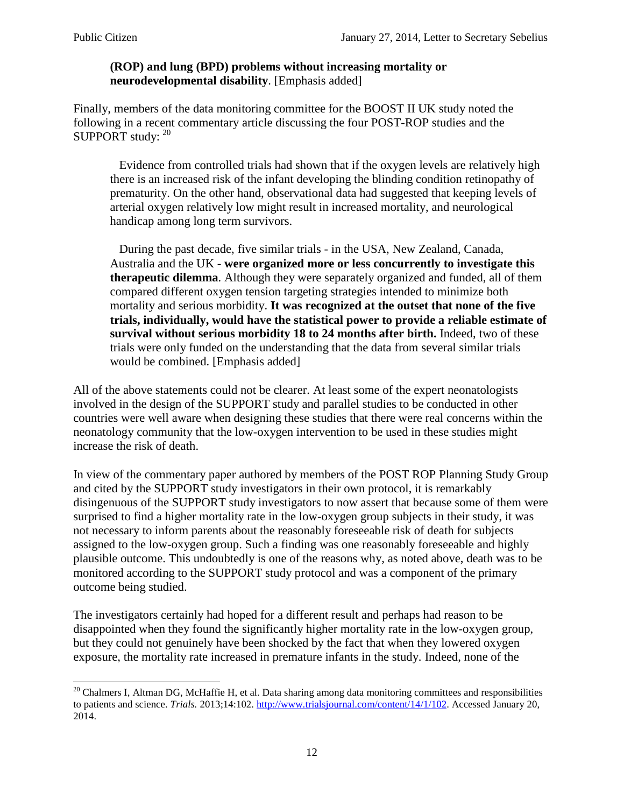## **(ROP) and lung (BPD) problems without increasing mortality or neurodevelopmental disability**. [Emphasis added]

Finally, members of the data monitoring committee for the BOOST II UK study noted the following in a recent commentary article discussing the four POST-ROP studies and the SUPPORT study: [20](#page-11-0)

 Evidence from controlled trials had shown that if the oxygen levels are relatively high there is an increased risk of the infant developing the blinding condition retinopathy of prematurity. On the other hand, observational data had suggested that keeping levels of arterial oxygen relatively low might result in increased mortality, and neurological handicap among long term survivors.

 During the past decade, five similar trials - in the USA, New Zealand, Canada, Australia and the UK - **were organized more or less concurrently to investigate this therapeutic dilemma**. Although they were separately organized and funded, all of them compared different oxygen tension targeting strategies intended to minimize both mortality and serious morbidity. **It was recognized at the outset that none of the five trials, individually, would have the statistical power to provide a reliable estimate of survival without serious morbidity 18 to 24 months after birth.** Indeed, two of these trials were only funded on the understanding that the data from several similar trials would be combined. [Emphasis added]

All of the above statements could not be clearer. At least some of the expert neonatologists involved in the design of the SUPPORT study and parallel studies to be conducted in other countries were well aware when designing these studies that there were real concerns within the neonatology community that the low-oxygen intervention to be used in these studies might increase the risk of death.

In view of the commentary paper authored by members of the POST ROP Planning Study Group and cited by the SUPPORT study investigators in their own protocol, it is remarkably disingenuous of the SUPPORT study investigators to now assert that because some of them were surprised to find a higher mortality rate in the low-oxygen group subjects in their study, it was not necessary to inform parents about the reasonably foreseeable risk of death for subjects assigned to the low-oxygen group. Such a finding was one reasonably foreseeable and highly plausible outcome. This undoubtedly is one of the reasons why, as noted above, death was to be monitored according to the SUPPORT study protocol and was a component of the primary outcome being studied.

The investigators certainly had hoped for a different result and perhaps had reason to be disappointed when they found the significantly higher mortality rate in the low-oxygen group, but they could not genuinely have been shocked by the fact that when they lowered oxygen exposure, the mortality rate increased in premature infants in the study. Indeed, none of the

<span id="page-11-0"></span> $20$  Chalmers I, Altman DG, McHaffie H, et al. Data sharing among data monitoring committees and responsibilities to patients and science. *Trials.* 2013;14:102[. http://www.trialsjournal.com/content/14/1/102.](http://www.trialsjournal.com/content/14/1/102) Accessed January 20, 2014.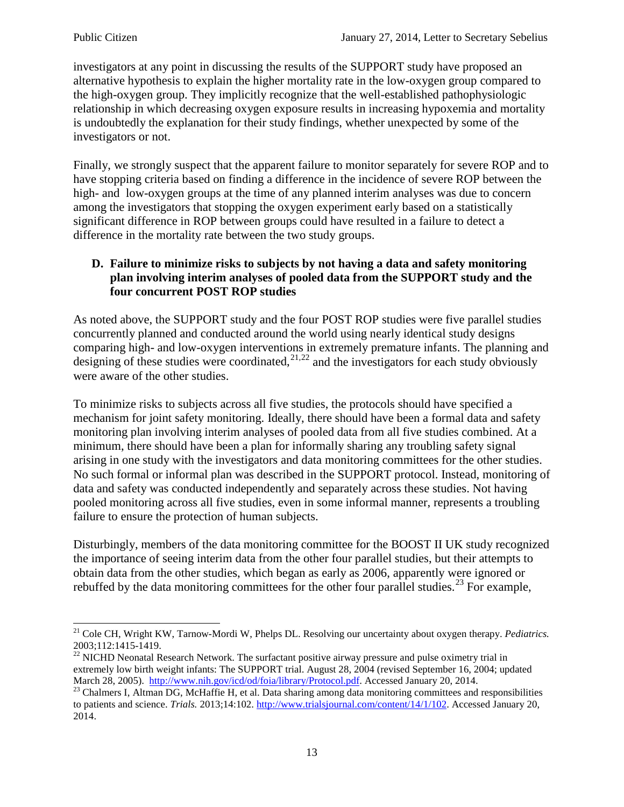investigators at any point in discussing the results of the SUPPORT study have proposed an alternative hypothesis to explain the higher mortality rate in the low-oxygen group compared to the high-oxygen group. They implicitly recognize that the well-established pathophysiologic relationship in which decreasing oxygen exposure results in increasing hypoxemia and mortality is undoubtedly the explanation for their study findings, whether unexpected by some of the investigators or not.

Finally, we strongly suspect that the apparent failure to monitor separately for severe ROP and to have stopping criteria based on finding a difference in the incidence of severe ROP between the high- and low-oxygen groups at the time of any planned interim analyses was due to concern among the investigators that stopping the oxygen experiment early based on a statistically significant difference in ROP between groups could have resulted in a failure to detect a difference in the mortality rate between the two study groups.

## **D. Failure to minimize risks to subjects by not having a data and safety monitoring plan involving interim analyses of pooled data from the SUPPORT study and the four concurrent POST ROP studies**

As noted above, the SUPPORT study and the four POST ROP studies were five parallel studies concurrently planned and conducted around the world using nearly identical study designs comparing high- and low-oxygen interventions in extremely premature infants. The planning and designing of these studies were coordinated,<sup>[21](#page-12-0),[22](#page-12-1)</sup> and the investigators for each study obviously were aware of the other studies.

To minimize risks to subjects across all five studies, the protocols should have specified a mechanism for joint safety monitoring. Ideally, there should have been a formal data and safety monitoring plan involving interim analyses of pooled data from all five studies combined. At a minimum, there should have been a plan for informally sharing any troubling safety signal arising in one study with the investigators and data monitoring committees for the other studies. No such formal or informal plan was described in the SUPPORT protocol. Instead, monitoring of data and safety was conducted independently and separately across these studies. Not having pooled monitoring across all five studies, even in some informal manner, represents a troubling failure to ensure the protection of human subjects.

Disturbingly, members of the data monitoring committee for the BOOST II UK study recognized the importance of seeing interim data from the other four parallel studies, but their attempts to obtain data from the other studies, which began as early as 2006, apparently were ignored or rebuffed by the data monitoring committees for the other four parallel studies.<sup>[23](#page-12-2)</sup> For example,

<span id="page-12-0"></span><sup>&</sup>lt;sup>21</sup> Cole CH, Wright KW, Tarnow-Mordi W, Phelps DL. Resolving our uncertainty about oxygen therapy. *Pediatrics*.<br>2003:112:1415-1419.

<span id="page-12-1"></span><sup>&</sup>lt;sup>22</sup> NICHD Neonatal Research Network. The surfactant positive airway pressure and pulse oximetry trial in extremely low birth weight infants: The SUPPORT trial. August 28, 2004 (revised September 16, 2004; updated March 28, 2005). http://www.nih.gov/icd/od/foia/library/Protocol.pdf. Accessed January 20, 2014.

<span id="page-12-2"></span><sup>&</sup>lt;sup>23</sup> Chalmers I, Altman DG, McHaffie H, et al. Data sharing among data monitoring committees and responsibilities to patients and science. *Trials.* 2013;14:102[. http://www.trialsjournal.com/content/14/1/102.](http://www.trialsjournal.com/content/14/1/102) Accessed January 20, 2014.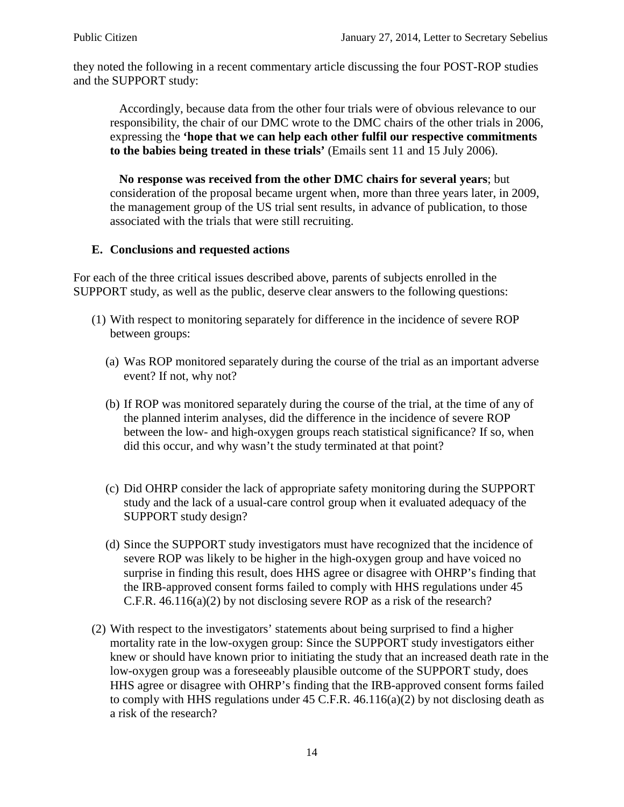they noted the following in a recent commentary article discussing the four POST-ROP studies and the SUPPORT study:

 Accordingly, because data from the other four trials were of obvious relevance to our responsibility, the chair of our DMC wrote to the DMC chairs of the other trials in 2006, expressing the **'hope that we can help each other fulfil our respective commitments to the babies being treated in these trials'** (Emails sent 11 and 15 July 2006).

 **No response was received from the other DMC chairs for several years**; but consideration of the proposal became urgent when, more than three years later, in 2009, the management group of the US trial sent results, in advance of publication, to those associated with the trials that were still recruiting.

### **E. Conclusions and requested actions**

For each of the three critical issues described above, parents of subjects enrolled in the SUPPORT study, as well as the public, deserve clear answers to the following questions:

- (1) With respect to monitoring separately for difference in the incidence of severe ROP between groups:
	- (a) Was ROP monitored separately during the course of the trial as an important adverse event? If not, why not?
	- (b) If ROP was monitored separately during the course of the trial, at the time of any of the planned interim analyses, did the difference in the incidence of severe ROP between the low- and high-oxygen groups reach statistical significance? If so, when did this occur, and why wasn't the study terminated at that point?
	- (c) Did OHRP consider the lack of appropriate safety monitoring during the SUPPORT study and the lack of a usual-care control group when it evaluated adequacy of the SUPPORT study design?
	- (d) Since the SUPPORT study investigators must have recognized that the incidence of severe ROP was likely to be higher in the high-oxygen group and have voiced no surprise in finding this result, does HHS agree or disagree with OHRP's finding that the IRB-approved consent forms failed to comply with HHS regulations under 45 C.F.R. 46.116(a)(2) by not disclosing severe ROP as a risk of the research?
- (2) With respect to the investigators' statements about being surprised to find a higher mortality rate in the low-oxygen group: Since the SUPPORT study investigators either knew or should have known prior to initiating the study that an increased death rate in the low-oxygen group was a foreseeably plausible outcome of the SUPPORT study, does HHS agree or disagree with OHRP's finding that the IRB-approved consent forms failed to comply with HHS regulations under  $45$  C.F.R.  $46.116(a)(2)$  by not disclosing death as a risk of the research?